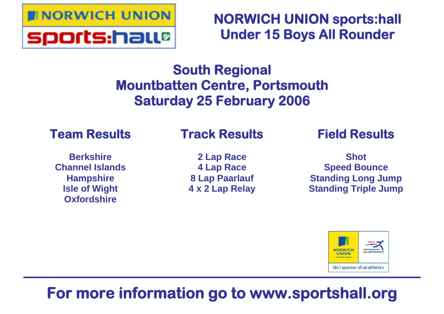

**NORWICH UNION sports:hall Under 15 Boys All Rounder**

# **South Regional Mountbatten Centre, Portsmouth Saturday 25 February 2006**

# **Team Results**

# **Track Results**

**Berkshire Channel Islands Hampshire Isle of Wight Oxfordshire**

**2 Lap Race 4 Lap Race 8 Lap Paarlauf 4 x 2 Lap Relay** **Field Results**

**Shot Speed Bounce Standing Long Jump Standing Triple Jump**



# **For more information go to www.sportshall.org**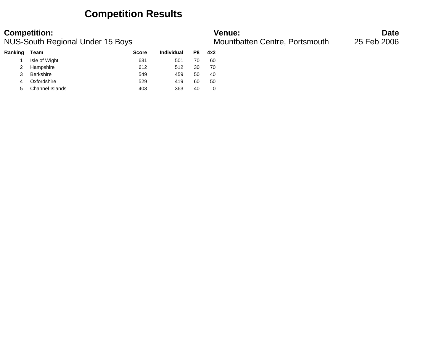## **Competition Results**

### **Competition: Venue: Date**

NUS-South Regional Under 15 Boys **Mountbatten Centre, Portsmouth** 25 Feb 2006

| Team             | <b>Score</b> | Individual | P8 | 4x2 |
|------------------|--------------|------------|----|-----|
| Isle of Wight    | 631          | 501        | 70 | 60  |
| Hampshire        | 612          | 512        | 30 | 70  |
| <b>Berkshire</b> | 549          | 459        | 50 | 40  |
| Oxfordshire      | 529          | 419        | 60 | 50  |
| Channel Islands  | 403          | 363        | 40 | 0   |
|                  |              |            |    |     |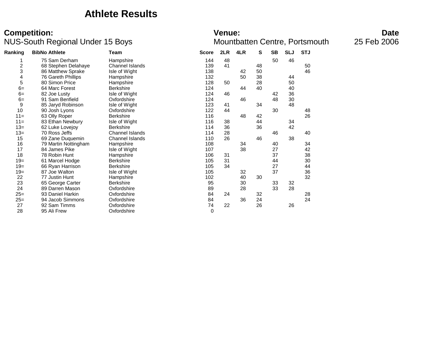### **Athlete Results**

### **Competition: Venue: Date** NUS-South Regional Under 15 Boys **Mountbatten Centre, Portsmouth** 25 Feb 2006

| Ranking                 | <b>BibNo Athlete</b> | Team                   | <b>Score</b> | 2LR | 4LR | S  | <b>SB</b> | <b>SLJ</b> | <b>STJ</b> |  |
|-------------------------|----------------------|------------------------|--------------|-----|-----|----|-----------|------------|------------|--|
|                         | 75 Sam Derham        | Hampshire              | 144          | 48  |     |    | 50        | 46         |            |  |
| $\overline{\mathbf{c}}$ | 68 Stephen Delahaye  | Channel Islands        | 139          | 41  |     | 48 |           |            | 50         |  |
| 3                       | 86 Matthew Sprake    | Isle of Wight          | 138          |     | 42  | 50 |           |            | 46         |  |
| 4                       | 76 Gareth Phillips   | Hampshire              | 132          |     | 50  | 38 |           | 44         |            |  |
| 5                       | 80 Simon Price       | Hampshire              | 128          | 50  |     | 28 |           | 50         |            |  |
| $6=$                    | 64 Marc Forest       | <b>Berkshire</b>       | 124          |     | 44  | 40 |           | 40         |            |  |
| $6=$                    | 82 Joe Lusty         | Isle of Wight          | 124          | 46  |     |    | 42        | 36         |            |  |
| $6=$                    | 91 Sam Benfield      | Oxfordshire            | 124          |     | 46  |    | 48        | 30         |            |  |
| 9                       | 85 Jaryd Robinson    | Isle of Wight          | 123          | 41  |     | 34 |           | 48         |            |  |
| 10                      | 90 Josh Lyons        | Oxfordshire            | 122          | 44  |     |    | 30        |            | 48         |  |
| $11 =$                  | 63 Olly Roper        | <b>Berkshire</b>       | 116          |     | 48  | 42 |           |            | 26         |  |
| $11 =$                  | 83 Ethan Newbury     | Isle of Wight          | 116          | 38  |     | 44 |           | 34         |            |  |
| $13 =$                  | 62 Luke Lovejoy      | <b>Berkshire</b>       | 114          | 36  |     | 36 |           | 42         |            |  |
| $13 =$                  | 70 Ross Jeffs        | <b>Channel Islands</b> | 114          | 28  |     |    | 46        |            | 40         |  |
| 15                      | 69 Zane Duquemin     | <b>Channel Islands</b> | 110          | 26  |     | 46 |           | 38         |            |  |
| 16                      | 79 Martin Nottingham | Hampshire              | 108          |     | 34  |    | 40        |            | 34         |  |
| 17                      | 84 James Pike        | Isle of Wight          | 107          |     | 38  |    | 27        |            | 42         |  |
| 18                      | 78 Robin Hunt        | Hampshire              | 106          | 31  |     |    | 37        |            | 38         |  |
| $19=$                   | 61 Marcel Hodge      | <b>Berkshire</b>       | 105          | 31  |     |    | 44        |            | 30         |  |
| $19=$                   | 66 Ryan Harrison     | <b>Berkshire</b>       | 105          | 34  |     |    | 27        |            | 44         |  |
| $19 =$                  | 87 Joe Walton        | Isle of Wight          | 105          |     | 32  |    | 37        |            | 36         |  |
| 22                      | 77 Justin Hunt       | Hampshire              | 102          |     | 40  | 30 |           |            | 32         |  |
| 23                      | 65 George Carter     | <b>Berkshire</b>       | 95           |     | 30  |    | 33        | 32         |            |  |
| 24                      | 89 Darren Mason      | Oxfordshire            | 89           |     | 28  |    | 33        | 28         |            |  |
| $25=$                   | 93 Daniel Harkin     | Oxfordshire            | 84           | 24  |     | 32 |           |            | 28         |  |
| $25=$                   | 94 Jacob Simmons     | Oxfordshire            | 84           |     | 36  | 24 |           |            | 24         |  |
| 27                      | 92 Sam Timms         | Oxfordshire            | 74           | 22  |     | 26 |           | 26         |            |  |
| 28                      | 95 Ali Frew          | Oxfordshire            | 0            |     |     |    |           |            |            |  |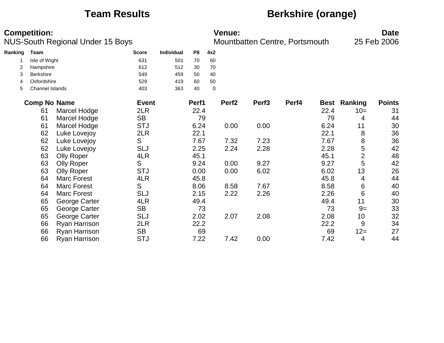## **Team Results Berkshire (orange)**

|         | <b>Competition:</b> | <b>NUS-South Regional Under 15 Boys</b> |              |            |                |     | <b>Venue:</b>     | Mountbatten Centre, Portsmouth |       |      |                     | <b>Date</b><br>25 Feb 2006 |
|---------|---------------------|-----------------------------------------|--------------|------------|----------------|-----|-------------------|--------------------------------|-------|------|---------------------|----------------------------|
| Ranking | Team                |                                         | <b>Score</b> | Individual | P <sub>8</sub> | 4x2 |                   |                                |       |      |                     |                            |
|         | Isle of Wight       |                                         | 631          | 501        | 70             | 60  |                   |                                |       |      |                     |                            |
|         | Hampshire           |                                         | 612          | 512        | 30             | 70  |                   |                                |       |      |                     |                            |
| 3       | <b>Berkshire</b>    |                                         | 549          | 459        | 50             | 40  |                   |                                |       |      |                     |                            |
| 4       | Oxfordshire         |                                         | 529          | 419        | 60             | 50  |                   |                                |       |      |                     |                            |
| 5       | Channel Islands     |                                         | 403          | 363        | 40             | 0   |                   |                                |       |      |                     |                            |
|         | <b>Comp No Name</b> |                                         | <b>Event</b> |            | Perf1          |     | Perf <sub>2</sub> | Perf <sub>3</sub>              | Perf4 |      | <b>Best Ranking</b> | <b>Points</b>              |
|         | 61                  | Marcel Hodge                            | 2LR          |            | 22.4           |     |                   |                                |       | 22.4 | $10=$               | 31                         |
|         | 61                  | Marcel Hodge                            | <b>SB</b>    |            | 79             |     |                   |                                |       | 79   | 4                   | 44                         |
|         | 61                  | Marcel Hodge                            | <b>STJ</b>   |            | 6.24           |     | 0.00              | 0.00                           |       | 6.24 | 11                  | 30                         |
|         | 62                  | Luke Lovejoy                            | 2LR          |            | 22.1           |     |                   |                                |       | 22.1 | 8                   | 36                         |
|         | 62                  | Luke Lovejoy                            | S            |            | 7.67           |     | 7.32              | 7.23                           |       | 7.67 | 8                   | 36                         |
|         | 62                  | Luke Lovejoy                            | <b>SLJ</b>   |            | 2.25           |     | 2.24              | 2.28                           |       | 2.28 | 5                   | 42                         |
|         | 63                  | <b>Olly Roper</b>                       | 4LR          |            | 45.1           |     |                   |                                |       | 45.1 | $\overline{2}$      | 48                         |
|         | 63                  | <b>Olly Roper</b>                       | S            |            | 9.24           |     | 0.00              | 9.27                           |       | 9.27 | 5                   | 42                         |
|         | 63                  | <b>Olly Roper</b>                       | <b>STJ</b>   |            | 0.00           |     | 0.00              | 6.02                           |       | 6.02 | 13                  | 26                         |
|         | 64                  | <b>Marc Forest</b>                      | 4LR          |            | 45.8           |     |                   |                                |       | 45.8 | 4                   | 44                         |
|         | 64                  | <b>Marc Forest</b>                      | S            |            | 8.06           |     | 8.58              | 7.67                           |       | 8.58 | 6                   | 40                         |
|         | 64                  | <b>Marc Forest</b>                      | SLJ          |            | 2.15           |     | 2.22              | 2.26                           |       | 2.26 | 6                   | 40                         |
|         | 65                  | George Carter                           | 4LR          |            | 49.4           |     |                   |                                |       | 49.4 | 11                  | 30                         |
|         | 65                  | George Carter                           | <b>SB</b>    |            | 73             |     |                   |                                |       | 73   | $9=$                | 33                         |
|         | 65                  | George Carter                           | <b>SLJ</b>   |            | 2.02           |     | 2.07              | 2.08                           |       | 2.08 | 10                  | 32                         |
|         | 66                  | Ryan Harrison                           | 2LR          |            | 22.2           |     |                   |                                |       | 22.2 | 9                   | 34                         |
|         | 66                  | Ryan Harrison                           | <b>SB</b>    |            | 69             |     |                   |                                |       | 69   | $12 =$              | 27                         |
|         | 66                  | Ryan Harrison                           | <b>STJ</b>   |            | 7.22           |     | 7.42              | 0.00                           |       | 7.42 | 4                   | 44                         |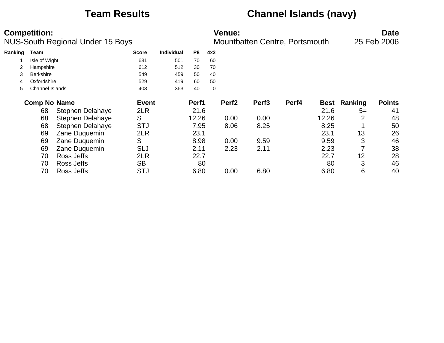# **Team Results Channel Islands (navy)**

|         | <b>Competition:</b> | NUS-South Regional Under 15 Boys |              |                   |                |     | <b>Venue:</b>     | Mountbatten Centre, Portsmouth |       |             |         | <b>Date</b><br>25 Feb 2006 |
|---------|---------------------|----------------------------------|--------------|-------------------|----------------|-----|-------------------|--------------------------------|-------|-------------|---------|----------------------------|
| Ranking | Team                |                                  | <b>Score</b> | <b>Individual</b> | P <sub>8</sub> | 4x2 |                   |                                |       |             |         |                            |
|         | Isle of Wight       |                                  | 631          | 501               | 70             | 60  |                   |                                |       |             |         |                            |
|         | Hampshire           |                                  | 612          | 512               | 30             | 70  |                   |                                |       |             |         |                            |
| 3       | <b>Berkshire</b>    |                                  | 549          | 459               | 50             | 40  |                   |                                |       |             |         |                            |
| 4       | Oxfordshire         |                                  | 529          | 419               | 60             | 50  |                   |                                |       |             |         |                            |
| 5       | Channel Islands     |                                  | 403          | 363               | 40             | 0   |                   |                                |       |             |         |                            |
|         | <b>Comp No Name</b> |                                  | <b>Event</b> |                   | Perf1          |     | Perf <sub>2</sub> | Perf <sub>3</sub>              | Perf4 | <b>Best</b> | Ranking | <b>Points</b>              |
|         | 68                  | <b>Stephen Delahaye</b>          | 2LR          |                   | 21.6           |     |                   |                                |       | 21.6        | $5=$    | 41                         |
|         | 68                  | <b>Stephen Delahaye</b>          | S            |                   | 12.26          |     | 0.00              | 0.00                           |       | 12.26       | 2       | 48                         |
|         | 68                  | <b>Stephen Delahaye</b>          | <b>STJ</b>   |                   | 7.95           |     | 8.06              | 8.25                           |       | 8.25        |         | 50                         |
|         | 69                  | Zane Duquemin                    | 2LR          |                   | 23.1           |     |                   |                                |       | 23.1        | 13      | 26                         |
|         | 69                  | Zane Duquemin                    | S            |                   | 8.98           |     | 0.00              | 9.59                           |       | 9.59        | 3       | 46                         |
|         | 69                  | Zane Duquemin                    | <b>SLJ</b>   |                   | 2.11           |     | 2.23              | 2.11                           |       | 2.23        |         | 38                         |
|         | 70                  | Ross Jeffs                       | 2LR          |                   | 22.7           |     |                   |                                |       | 22.7        | 12      | 28                         |
|         | 70                  | Ross Jeffs                       | <b>SB</b>    |                   | 80             |     |                   |                                |       | 80          | 3       | 46                         |
|         | 70                  | Ross Jeffs                       | <b>STJ</b>   |                   | 6.80           |     | 0.00              | 6.80                           |       | 6.80        | 6       | 40                         |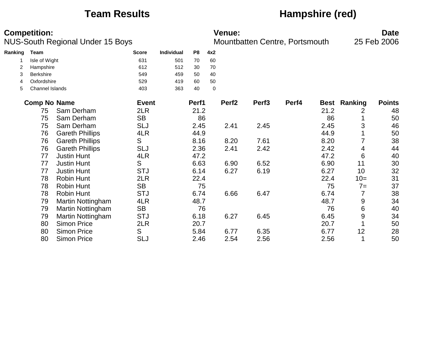## **Team Results Hampshire (red)**

|         | <b>Competition:</b> | <b>NUS-South Regional Under 15 Boys</b> |              |            |                |     | <b>Venue:</b>     |                   | Mountbatten Centre, Portsmouth |      |                     | <b>Date</b><br>25 Feb 2006 |
|---------|---------------------|-----------------------------------------|--------------|------------|----------------|-----|-------------------|-------------------|--------------------------------|------|---------------------|----------------------------|
| Ranking | Team                |                                         | <b>Score</b> | Individual | P <sub>8</sub> | 4x2 |                   |                   |                                |      |                     |                            |
|         | Isle of Wight       |                                         | 631          | 501        | 70             | 60  |                   |                   |                                |      |                     |                            |
|         | Hampshire           |                                         | 612          | 512        | 30             | 70  |                   |                   |                                |      |                     |                            |
| 3       | Berkshire           |                                         | 549          | 459        | 50             | 40  |                   |                   |                                |      |                     |                            |
| 4       | Oxfordshire         |                                         | 529          | 419        | 60             | 50  |                   |                   |                                |      |                     |                            |
| 5       | Channel Islands     |                                         | 403          | 363        | 40             | 0   |                   |                   |                                |      |                     |                            |
|         | <b>Comp No Name</b> |                                         | <b>Event</b> |            | Perf1          |     | Perf <sub>2</sub> | Perf <sub>3</sub> | Perf4                          |      | <b>Best Ranking</b> | <b>Points</b>              |
|         | 75                  | Sam Derham                              | 2LR          |            | 21.2           |     |                   |                   |                                | 21.2 | 2                   | 48                         |
|         | 75                  | Sam Derham                              | <b>SB</b>    |            | 86             |     |                   |                   |                                | 86   |                     | 50                         |
|         | 75                  | Sam Derham                              | <b>SLJ</b>   |            | 2.45           |     | 2.41              | 2.45              |                                | 2.45 | 3                   | 46                         |
|         | 76                  | <b>Gareth Phillips</b>                  | 4LR          |            | 44.9           |     |                   |                   |                                | 44.9 |                     | 50                         |
|         | 76                  | <b>Gareth Phillips</b>                  | S            |            | 8.16           |     | 8.20              | 7.61              |                                | 8.20 | 7                   | 38                         |
|         | 76                  | <b>Gareth Phillips</b>                  | <b>SLJ</b>   |            | 2.36           |     | 2.41              | 2.42              |                                | 2.42 | 4                   | 44                         |
|         | 77                  | <b>Justin Hunt</b>                      | 4LR          |            | 47.2           |     |                   |                   |                                | 47.2 | 6                   | 40                         |
|         | 77                  | <b>Justin Hunt</b>                      | S            |            | 6.63           |     | 6.90              | 6.52              |                                | 6.90 | 11                  | 30                         |
|         | 77                  | <b>Justin Hunt</b>                      | <b>STJ</b>   |            | 6.14           |     | 6.27              | 6.19              |                                | 6.27 | 10                  | 32                         |
|         | 78                  | <b>Robin Hunt</b>                       | 2LR          |            | 22.4           |     |                   |                   |                                | 22.4 | $10=$               | 31                         |
|         | 78                  | <b>Robin Hunt</b>                       | <b>SB</b>    |            | 75             |     |                   |                   |                                | 75   | $7=$                | 37                         |
|         | 78                  | <b>Robin Hunt</b>                       | <b>STJ</b>   |            | 6.74           |     | 6.66              | 6.47              |                                | 6.74 | 7                   | 38                         |
|         | 79                  | <b>Martin Nottingham</b>                | 4LR          |            | 48.7           |     |                   |                   |                                | 48.7 | 9                   | 34                         |
|         | 79                  | <b>Martin Nottingham</b>                | <b>SB</b>    |            | 76             |     |                   |                   |                                | 76   | 6                   | 40                         |
|         | 79                  | Martin Nottingham                       | <b>STJ</b>   |            | 6.18           |     | 6.27              | 6.45              |                                | 6.45 | 9                   | 34                         |
|         | 80                  | <b>Simon Price</b>                      | 2LR          |            | 20.7           |     |                   |                   |                                | 20.7 |                     | 50                         |
|         | 80                  | <b>Simon Price</b>                      | S            |            | 5.84           |     | 6.77              | 6.35              |                                | 6.77 | 12                  | 28                         |
|         | 80                  | <b>Simon Price</b>                      | <b>SLJ</b>   |            | 2.46           |     | 2.54              | 2.56              |                                | 2.56 |                     | 50                         |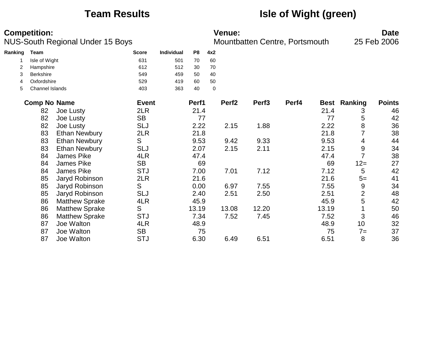# **Team Results Isle of Wight (green)**

|         | <b>Competition:</b> | <b>NUS-South Regional Under 15 Boys</b> |              |                   |       |     | <b>Venue:</b>     | Mountbatten Centre, Portsmouth |       |       |                     | <b>Date</b><br>25 Feb 2006 |
|---------|---------------------|-----------------------------------------|--------------|-------------------|-------|-----|-------------------|--------------------------------|-------|-------|---------------------|----------------------------|
| Ranking | <b>Team</b>         |                                         | <b>Score</b> | <b>Individual</b> | P8    | 4x2 |                   |                                |       |       |                     |                            |
|         | Isle of Wight       |                                         | 631          | 501               | 70    | 60  |                   |                                |       |       |                     |                            |
|         | Hampshire           |                                         | 612          | 512               | 30    | 70  |                   |                                |       |       |                     |                            |
| 3       | Berkshire           |                                         | 549          | 459               | 50    | 40  |                   |                                |       |       |                     |                            |
| 4       | Oxfordshire         |                                         | 529          | 419               | 60    | 50  |                   |                                |       |       |                     |                            |
| 5       | Channel Islands     |                                         | 403          | 363               | 40    | 0   |                   |                                |       |       |                     |                            |
|         | <b>Comp No Name</b> |                                         | <b>Event</b> |                   | Perf1 |     | Perf <sub>2</sub> | Perf <sub>3</sub>              | Perf4 |       | <b>Best Ranking</b> | <b>Points</b>              |
|         | 82                  | Joe Lusty                               | 2LR          |                   | 21.4  |     |                   |                                |       | 21.4  | 3                   | 46                         |
|         | 82                  | Joe Lusty                               | <b>SB</b>    |                   | 77    |     |                   |                                |       | 77    | 5                   | 42                         |
|         | 82                  | Joe Lusty                               | <b>SLJ</b>   |                   | 2.22  |     | 2.15              | 1.88                           |       | 2.22  | 8                   | 36                         |
|         | 83                  | <b>Ethan Newbury</b>                    | 2LR          |                   | 21.8  |     |                   |                                |       | 21.8  | 7                   | 38                         |
|         | 83                  | <b>Ethan Newbury</b>                    | S            |                   | 9.53  |     | 9.42              | 9.33                           |       | 9.53  | 4                   | 44                         |
|         | 83                  | <b>Ethan Newbury</b>                    | <b>SLJ</b>   |                   | 2.07  |     | 2.15              | 2.11                           |       | 2.15  | 9                   | 34                         |
|         | 84                  | James Pike                              | 4LR          |                   | 47.4  |     |                   |                                |       | 47.4  | $\overline{7}$      | 38                         |
|         | 84                  | James Pike                              | <b>SB</b>    |                   | 69    |     |                   |                                |       | 69    | $12 =$              | 27                         |
|         | 84                  | James Pike                              | <b>STJ</b>   |                   | 7.00  |     | 7.01              | 7.12                           |       | 7.12  | 5                   | 42                         |
|         | 85                  | Jaryd Robinson                          | 2LR          |                   | 21.6  |     |                   |                                |       | 21.6  | $5=$                | 41                         |
|         | 85                  | Jaryd Robinson                          | S            |                   | 0.00  |     | 6.97              | 7.55                           |       | 7.55  | 9                   | 34                         |
|         | 85                  | Jaryd Robinson                          | <b>SLJ</b>   |                   | 2.40  |     | 2.51              | 2.50                           |       | 2.51  | $\mathbf{2}$        | 48                         |
|         | 86                  | <b>Matthew Sprake</b>                   | 4LR          |                   | 45.9  |     |                   |                                |       | 45.9  | 5                   | 42                         |
|         | 86                  | <b>Matthew Sprake</b>                   | S            |                   | 13.19 |     | 13.08             | 12.20                          |       | 13.19 |                     | 50                         |
|         | 86                  | <b>Matthew Sprake</b>                   | <b>STJ</b>   |                   | 7.34  |     | 7.52              | 7.45                           |       | 7.52  | 3                   | 46                         |
|         | 87                  | Joe Walton                              | 4LR          |                   | 48.9  |     |                   |                                |       | 48.9  | 10                  | 32                         |
|         | 87                  | Joe Walton                              | <b>SB</b>    |                   | 75    |     |                   |                                |       | 75    | $7 =$               | 37                         |
|         | 87                  | Joe Walton                              | <b>STJ</b>   |                   | 6.30  |     | 6.49              | 6.51                           |       | 6.51  | 8                   | 36                         |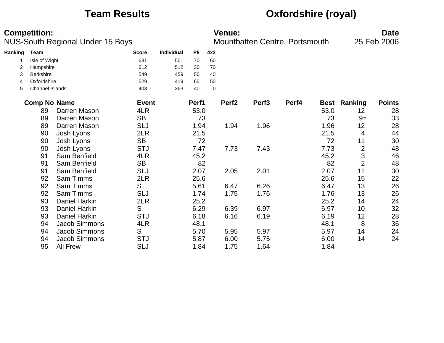# **Team Results Oxfordshire (royal)**

|         | <b>Competition:</b> | NUS-South Regional Under 15 Boys |              |                   |       |             | <b>Venue:</b>     | Mountbatten Centre, Portsmouth |       |      |                     | <b>Date</b><br>25 Feb 2006 |
|---------|---------------------|----------------------------------|--------------|-------------------|-------|-------------|-------------------|--------------------------------|-------|------|---------------------|----------------------------|
| Ranking | <b>Team</b>         |                                  | <b>Score</b> | <b>Individual</b> | P8    | 4x2         |                   |                                |       |      |                     |                            |
|         | Isle of Wight       |                                  | 631          | 501               | 70    | 60          |                   |                                |       |      |                     |                            |
| 2       | Hampshire           |                                  | 612          | 512               | 30    | 70          |                   |                                |       |      |                     |                            |
| 3       | Berkshire           |                                  | 549          | 459               | 50    | 40          |                   |                                |       |      |                     |                            |
| 4       | Oxfordshire         |                                  | 529          | 419               | 60    | 50          |                   |                                |       |      |                     |                            |
| 5       | Channel Islands     |                                  | 403          | 363               | 40    | $\mathbf 0$ |                   |                                |       |      |                     |                            |
|         | <b>Comp No Name</b> |                                  | <b>Event</b> |                   | Perf1 |             | Perf <sub>2</sub> | Perf <sub>3</sub>              | Perf4 |      | <b>Best Ranking</b> | <b>Points</b>              |
|         | 89                  | Darren Mason                     | 4LR          |                   | 53.0  |             |                   |                                |       | 53.0 | 12                  | 28                         |
|         | 89                  | Darren Mason                     | <b>SB</b>    |                   | 73    |             |                   |                                |       | 73   | $9=$                | 33                         |
|         | 89                  | Darren Mason                     | <b>SLJ</b>   |                   | 1.94  |             | 1.94              | 1.96                           |       | 1.96 | 12                  | 28                         |
|         | 90                  | Josh Lyons                       | 2LR          |                   | 21.5  |             |                   |                                |       | 21.5 | 4                   | 44                         |
|         | 90                  | Josh Lyons                       | <b>SB</b>    |                   | 72    |             |                   |                                |       | 72   | 11                  | 30                         |
|         | 90                  | Josh Lyons                       | <b>STJ</b>   |                   | 7.47  |             | 7.73              | 7.43                           |       | 7.73 | $\mathbf{2}$        | 48                         |
|         | 91                  | Sam Benfield                     | 4LR          |                   | 45.2  |             |                   |                                |       | 45.2 | 3                   | 46                         |
|         | 91                  | Sam Benfield                     | <b>SB</b>    |                   | 82    |             |                   |                                |       | 82   | $\overline{2}$      | 48                         |
|         | 91                  | Sam Benfield                     | <b>SLJ</b>   |                   | 2.07  |             | 2.05              | 2.01                           |       | 2.07 | 11                  | 30                         |
|         | 92                  | <b>Sam Timms</b>                 | 2LR          |                   | 25.6  |             |                   |                                |       | 25.6 | 15                  | 22                         |
|         | 92                  | <b>Sam Timms</b>                 | S            |                   | 5.61  |             | 6.47              | 6.26                           |       | 6.47 | 13                  | 26                         |
|         | 92                  | Sam Timms                        | <b>SLJ</b>   |                   | 1.74  |             | 1.75              | 1.76                           |       | 1.76 | 13                  | 26                         |
|         | 93                  | Daniel Harkin                    | 2LR          |                   | 25.2  |             |                   |                                |       | 25.2 | 14                  | 24                         |
|         | 93                  | <b>Daniel Harkin</b>             | S            |                   | 6.29  |             | 6.39              | 6.97                           |       | 6.97 | 10                  | 32                         |
|         | 93                  | <b>Daniel Harkin</b>             | <b>STJ</b>   |                   | 6.18  |             | 6.16              | 6.19                           |       | 6.19 | 12                  | 28                         |
|         | 94                  | Jacob Simmons                    | 4LR          |                   | 48.1  |             |                   |                                |       | 48.1 | 8                   | 36                         |
|         | 94                  | Jacob Simmons                    | S            |                   | 5.70  |             | 5.95              | 5.97                           |       | 5.97 | 14                  | 24                         |
|         | 94                  | <b>Jacob Simmons</b>             | <b>STJ</b>   |                   | 5.87  |             | 6.00              | 5.75                           |       | 6.00 | 14                  | 24                         |
|         | 95                  | Ali Frew                         | <b>SLJ</b>   |                   | 1.84  |             | 1.75              | 1.64                           |       | 1.84 |                     |                            |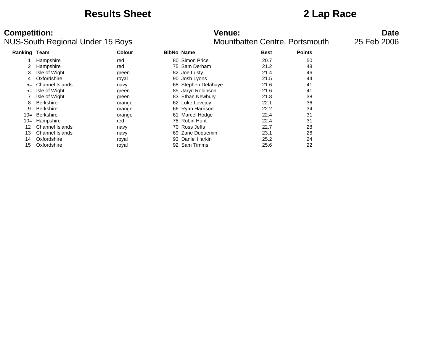## **Results Sheet 2 Lap Race**

### NUS-South Regional Under 15 Boys **Mountbatten Centre, Portsmouth** 25 Feb 2006

# **Competition: Venue: Date**

| <b>Ranking Team</b> |                        | <b>Colour</b> | <b>BibNo Name</b> |                     | <b>Best</b> | <b>Points</b> |
|---------------------|------------------------|---------------|-------------------|---------------------|-------------|---------------|
|                     | Hampshire              | red           | 80                | <b>Simon Price</b>  | 20.7        | 50            |
|                     | Hampshire              | red           |                   | 75 Sam Derham       | 21.2        | 48            |
| 3                   | Isle of Wight          | green         |                   | 82 Joe Lusty        | 21.4        | 46            |
| 4                   | Oxfordshire            | royal         | 90                | Josh Lyons          | 21.5        | 44            |
| $5=$                | Channel Islands        | navy          |                   | 68 Stephen Delahaye | 21.6        | 41            |
| $5=$                | Isle of Wight          | green         |                   | 85 Jaryd Robinson   | 21.6        | 41            |
|                     | Isle of Wight          | green         | 83                | Ethan Newbury       | 21.8        | 38            |
| 8                   | <b>Berkshire</b>       | orange        |                   | 62 Luke Lovejov     | 22.1        | 36            |
| 9                   | <b>Berkshire</b>       | orange        |                   | 66 Ryan Harrison    | 22.2        | 34            |
| $10=$               | Berkshire              | orange        |                   | 61 Marcel Hodge     | 22.4        | 31            |
| 10=                 | Hampshire              | red           |                   | 78 Robin Hunt       | 22.4        | 31            |
| 12                  | <b>Channel Islands</b> | navy          |                   | 70 Ross Jeffs       | 22.7        | 28            |
| 13                  | Channel Islands        | navy          |                   | 69 Zane Duquemin    | 23.1        | 26            |
| 14                  | Oxfordshire            | roval         |                   | 93 Daniel Harkin    | 25.2        | 24            |
| 15                  | Oxfordshire            | royal         | 92                | Sam Timms           | 25.6        | 22            |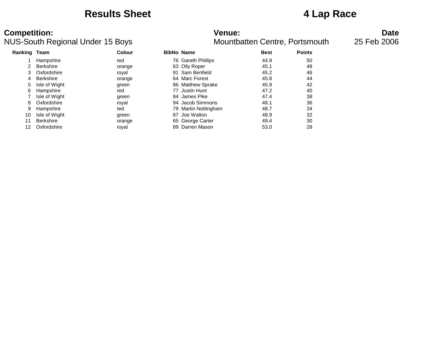## **Results Sheet 4 Lap Race**

### **Competition: Venue: Date** NUS-South Regional Under 15 Boys **Mountbatten Centre, Portsmouth** 25 Feb 2006

| Ranking Team |                  | Colour | <b>BibNo Name</b> |                      | <b>Best</b> | <b>Points</b> |
|--------------|------------------|--------|-------------------|----------------------|-------------|---------------|
|              | Hampshire        | red    |                   | 76 Gareth Phillips   | 44.9        | 50            |
|              | <b>Berkshire</b> | orange |                   | 63 Olly Roper        | 45.1        | 48            |
| 3            | Oxfordshire      | roval  |                   | 91 Sam Benfield      | 45.2        | 46            |
| 4            | <b>Berkshire</b> | orange |                   | 64 Marc Forest       | 45.8        | 44            |
| 5            | Isle of Wight    | green  |                   | 86 Matthew Sprake    | 45.9        | 42            |
| 6            | Hampshire        | red    |                   | 77 Justin Hunt       | 47.2        | 40            |
|              | Isle of Wight    | green  |                   | 84 James Pike        | 47.4        | 38            |
| 8            | Oxfordshire      | royal  |                   | 94 Jacob Simmons     | 48.1        | 36            |
| 9            | Hampshire        | red    |                   | 79 Martin Nottingham | 48.7        | 34            |
| 10           | Isle of Wight    | green  | 87                | Joe Walton           | 48.9        | 32            |
| 11           | <b>Berkshire</b> | orange |                   | 65 George Carter     | 49.4        | 30            |
| 12           | Oxfordshire      | royal  |                   | 89 Darren Mason      | 53.0        | 28            |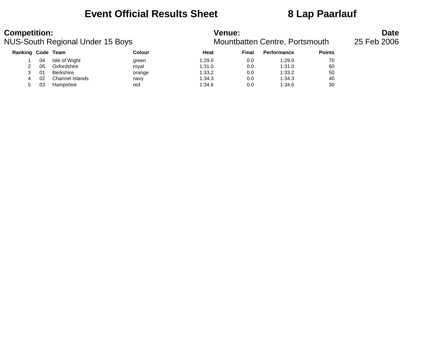## **Event Official Results Sheet 8 Lap Paarlauf**

| <b>Competition:</b> |    | NUS-South Regional Under 15 Boys |        | <b>Venue:</b> |       | Mountbatten Centre, Portsmouth |               | <b>Date</b><br>25 Feb 2006 |
|---------------------|----|----------------------------------|--------|---------------|-------|--------------------------------|---------------|----------------------------|
| Ranking Code Team   |    |                                  | Colour | Heat          | Final | <b>Performance</b>             | <b>Points</b> |                            |
|                     | 04 | Isle of Wight                    | green  | 1:29.0        | 0.0   | 1:29.0                         | 70            |                            |
|                     | 05 | Oxfordshire                      | roval  | 1:31.0        | 0.0   | 1:31.0                         | 60            |                            |
|                     | 01 | Berkshire                        | orange | 1:33.2        | 0.0   | 1:33.2                         | 50            |                            |
| 4                   | 02 | Channel Islands                  | navy   | 1:34.3        | 0.0   | 1:34.3                         | 40            |                            |
| 5                   | 03 | Hampshire                        | red    | 1:34.6        | 0.0   | 1:34.6                         | 30            |                            |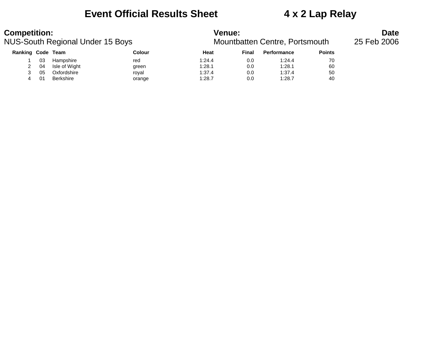### **Event Official Results Sheet 4 x 2 Lap Relay**

### **Competition:**<br>**Date**<br>Mountbatten Centre, Portsmouth 25 Feb 2006<br>Mountbatten Centre, Portsmouth 25 Feb 2006 NUS-South Regional Under 15 Boys

| Ranking Code Team |    |                  | Colour | Heat   | Final | <b>Performance</b> | <b>Points</b> |
|-------------------|----|------------------|--------|--------|-------|--------------------|---------------|
|                   | 03 | Hampshire        | red    | 1:24.4 | 0.0   | 1:24.4             | 70            |
| $\mathcal{P}$     | 04 | Isle of Wight    | green  | 1:28.1 | 0.0   | 1:28.1             | 60            |
| ว                 | 05 | Oxfordshire      | royal  | 1:37.4 | 0.0   | 1:37.4             | 50            |
|                   | 01 | <b>Berkshire</b> | orange | 1:28.7 | 0.0   | 1:28.7             | 40            |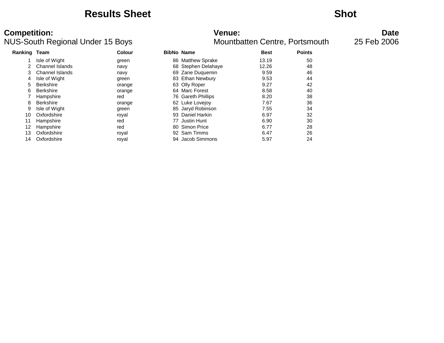### **Results Sheet Shot**

### NUS-South Regional Under 15 Boys **Mountbatten Centre, Portsmouth** 25 Feb 2006

# **Competition: Venue: Date**

| Ranking Team |                  | Colour | <b>BibNo Name</b> |                     | <b>Best</b> | <b>Points</b> |
|--------------|------------------|--------|-------------------|---------------------|-------------|---------------|
|              | Isle of Wight    | green  |                   | 86 Matthew Sprake   | 13.19       | 50            |
|              | Channel Islands  | navy   |                   | 68 Stephen Delahaye | 12.26       | 48            |
|              | Channel Islands  | navy   |                   | 69 Zane Duquemin    | 9.59        | 46            |
| 4            | Isle of Wight    | green  |                   | 83 Ethan Newbury    | 9.53        | 44            |
| 5.           | <b>Berkshire</b> | orange |                   | 63 Olly Roper       | 9.27        | 42            |
| 6.           | <b>Berkshire</b> | orange |                   | 64 Marc Forest      | 8.58        | 40            |
|              | Hampshire        | red    |                   | 76 Gareth Phillips  | 8.20        | 38            |
| 8            | <b>Berkshire</b> | orange |                   | 62 Luke Lovejoy     | 7.67        | 36            |
| 9            | Isle of Wight    | green  |                   | 85 Jaryd Robinson   | 7.55        | 34            |
| 10           | Oxfordshire      | roval  |                   | 93 Daniel Harkin    | 6.97        | 32            |
| 11           | Hampshire        | red    |                   | 77 Justin Hunt      | 6.90        | 30            |
| 12           | Hampshire        | red    | 80.               | <b>Simon Price</b>  | 6.77        | 28            |
| 13           | Oxfordshire      | royal  |                   | 92 Sam Timms        | 6.47        | 26            |
| 14           | Oxfordshire      | royal  |                   | 94 Jacob Simmons    | 5.97        | 24            |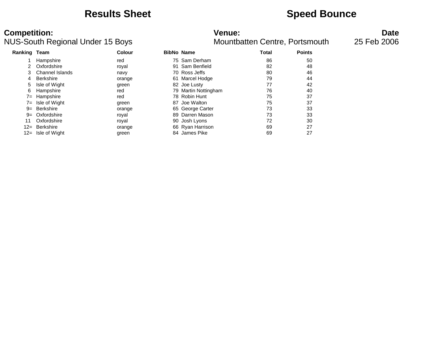## **Results Sheet Speed Bounce**

### **Competition: Venue: Date** NUS-South Regional Under 15 Boys **Mountbatten Centre, Portsmouth** 25 Feb 2006

| <b>Ranking Team</b> |                  | Colour |    | <b>BibNo Name</b>    | Total | <b>Points</b> |
|---------------------|------------------|--------|----|----------------------|-------|---------------|
|                     | Hampshire        | red    |    | 75 Sam Derham        | 86    | 50            |
|                     | Oxfordshire      | royal  | 91 | Sam Benfield         | 82    | 48            |
| 3                   | Channel Islands  | navy   |    | 70 Ross Jeffs        | 80    | 46            |
| 4                   | <b>Berkshire</b> | orange | 61 | Marcel Hodge         | 79    | 44            |
| 5                   | Isle of Wight    | green  |    | 82 Joe Lusty         | 77    | 42            |
| 6                   | Hampshire        | red    |    | 79 Martin Nottingham | 76    | 40            |
| $7 =$               | Hampshire        | red    |    | 78 Robin Hunt        | 75    | 37            |
| $7 =$               | Isle of Wight    | green  | 87 | Joe Walton           | 75    | 37            |
| $9=$                | Berkshire        | orange |    | 65 George Carter     | 73    | 33            |
| $9=$                | Oxfordshire      | royal  |    | 89 Darren Mason      | 73    | 33            |
| 11                  | Oxfordshire      | royal  |    | 90 Josh Lyons        | 72    | 30            |
|                     | 12= Berkshire    | orange |    | 66 Ryan Harrison     | 69    | 27            |
| 12=                 | Isle of Wight    | green  |    | 84 James Pike        | 69    | 27            |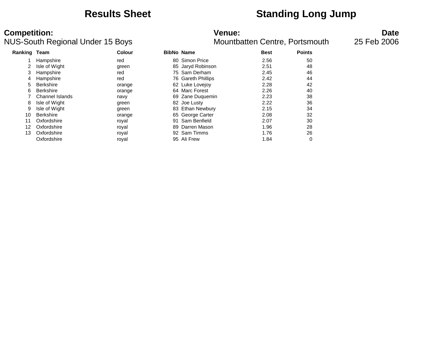## **Results Sheet Standing Long Jump**

### **Competition:**<br>**Date**<br>Mountbatten Centre, Portsmouth 15 Feb 2006<br>Mountbatten Centre, Portsmouth 25 Feb 2006 NUS-South Regional Under 15 Boys

| <b>Ranking Team</b> |                  | <b>Colour</b> |     | <b>BibNo Name</b>  | <b>Best</b> | <b>Points</b> |
|---------------------|------------------|---------------|-----|--------------------|-------------|---------------|
|                     | Hampshire        | red           | 80. | Simon Price        | 2.56        | 50            |
| 2                   | Isle of Wight    | green         |     | 85 Jaryd Robinson  | 2.51        | 48            |
| 3                   | Hampshire        | red           |     | 75 Sam Derham      | 2.45        | 46            |
| 4                   | Hampshire        | red           |     | 76 Gareth Phillips | 2.42        | 44            |
| 5                   | <b>Berkshire</b> | orange        |     | 62 Luke Lovejov    | 2.28        | 42            |
| 6                   | <b>Berkshire</b> | orange        |     | 64 Marc Forest     | 2.26        | 40            |
|                     | Channel Islands  | navy          |     | 69 Zane Duquemin   | 2.23        | 38            |
| 8                   | Isle of Wight    | green         |     | 82 Joe Lusty       | 2.22        | 36            |
| 9                   | Isle of Wight    | green         |     | 83 Ethan Newbury   | 2.15        | 34            |
| 10                  | <b>Berkshire</b> | orange        |     | 65 George Carter   | 2.08        | 32            |
| 11                  | Oxfordshire      | roval         | 91  | Sam Benfield       | 2.07        | 30            |
| 12                  | Oxfordshire      | royal         |     | 89 Darren Mason    | 1.96        | 28            |
| 13                  | Oxfordshire      | royal         |     | 92 Sam Timms       | 1.76        | 26            |
|                     | Oxfordshire      | roval         |     | 95 Ali Frew        | 1.84        | 0             |